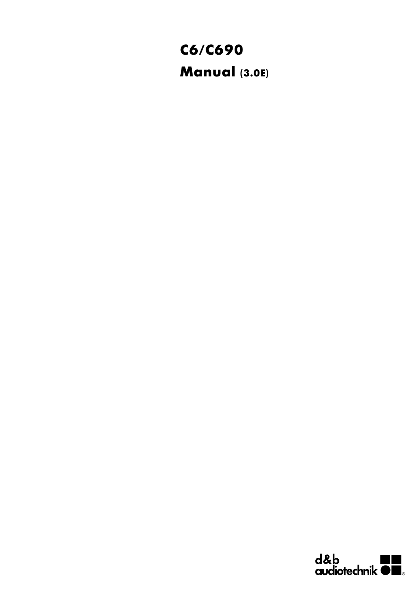# **C6/C690 Manual (3.0E)**

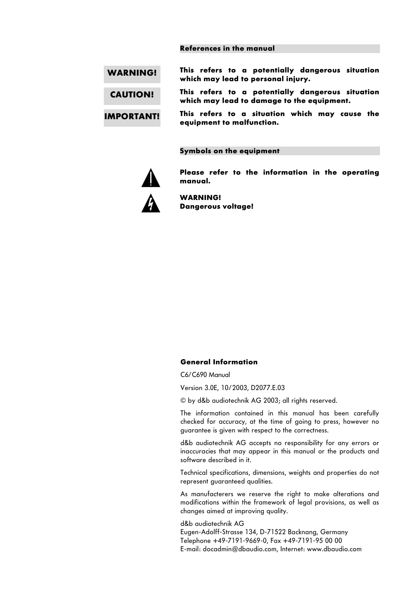#### **References in the manual**

| <b>WARNING!</b>   | This refers to a potentially dangerous situation<br>which may lead to personal injury.         |
|-------------------|------------------------------------------------------------------------------------------------|
| <b>CAUTION!</b>   | This refers to a potentially dangerous situation<br>which may lead to damage to the equipment. |
| <b>IMPORTANT!</b> | This refers to a situation which may cause the<br>equipment to malfunction.                    |

#### **Symbols on the equipment**



**Please refer to the information in the operating manual.**



**WARNING! Dangerous voltage!**

#### **General Information**

C6/C690 Manual

Version 3.0E, 10/2003, D2077.E.03

© by d&b audiotechnik AG 2003; all rights reserved.

The information contained in this manual has been carefully checked for accuracy, at the time of going to press, however no guarantee is given with respect to the correctness.

d&b audiotechnik AG accepts no responsibility for any errors or inaccuracies that may appear in this manual or the products and software described in it.

Technical specifications, dimensions, weights and properties do not represent guaranteed qualities.

As manufacterers we reserve the right to make alterations and modifications within the framework of legal provisions, as well as changes aimed at improving quality.

d&b audiotechnik AG Eugen-Adolff-Strasse 134, D-71522 Backnang, Germany Telephone +49-7191-9669-0, Fax +49-7191-95 00 00 E-mail: docadmin@dbaudio.com, Internet: www.dbaudio.com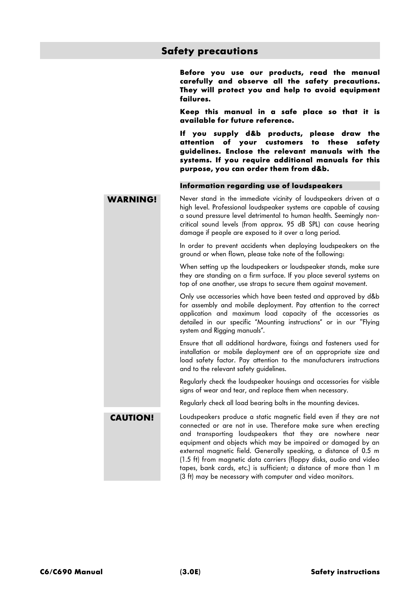# **Safety precautions**

**Before you use our products, read the manual carefully and observe all the safety precautions. They will protect you and help to avoid equipment failures.**

**Keep this manual in a safe place so that it is available for future reference.**

**If you supply d&b products, please draw the attention of your customers to these safety guidelines. Enclose the relevant manuals with the systems. If you require additional manuals for this purpose, you can order them from d&b.**

#### **Information regarding use of loudspeakers**

**WARNING!** Never stand in the immediate vicinity of loudspeakers driven at a high level. Professional loudspeaker systems are capable of causing a sound pressure level detrimental to human health. Seemingly noncritical sound levels (from approx. 95 dB SPL) can cause hearing damage if people are exposed to it over a long period.

> In order to prevent accidents when deploying loudspeakers on the ground or when flown, please take note of the following:

> When setting up the loudspeakers or loudspeaker stands, make sure they are standing on a firm surface. If you place several systems on top of one another, use straps to secure them against movement.

> Only use accessories which have been tested and approved by d&b for assembly and mobile deployment. Pay attention to the correct application and maximum load capacity of the accessories as detailed in our specific "Mounting instructions" or in our "Flying system and Riaging manuals".

> Ensure that all additional hardware, fixings and fasteners used for installation or mobile deployment are of an appropriate size and load safety factor. Pay attention to the manufacturers instructions and to the relevant safety guidelines.

> Regularly check the loudspeaker housings and accessories for visible signs of wear and tear, and replace them when necessary.

Regularly check all load bearing bolts in the mounting devices.

**CAUTION!** Loudspeakers produce a static magnetic field even if they are not connected or are not in use. Therefore make sure when erecting and transporting loudspeakers that they are nowhere near equipment and objects which may be impaired or damaged by an external magnetic field. Generally speaking, a distance of 0.5 m (1.5 ft) from magnetic data carriers (floppy disks, audio and video tapes, bank cards, etc.) is sufficient; a distance of more than 1 m (3 ft) may be necessary with computer and video monitors.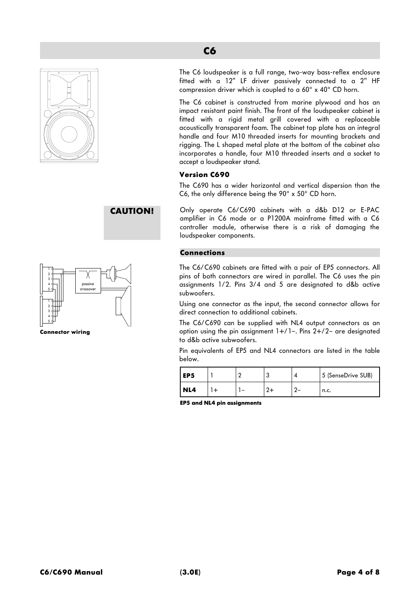



**Connector wiring**

The C6 loudspeaker is a full range, two-way bass-reflex enclosure fitted with a 12" LF driver passively connected to a 2" HF compression driver which is coupled to a 60° x 40° CD horn.

The C6 cabinet is constructed from marine plywood and has an impact resistant paint finish. The front of the loudspeaker cabinet is fitted with a rigid metal grill covered with a replaceable acoustically transparent foam. The cabinet top plate has an integral handle and four M10 threaded inserts for mounting brackets and rigging. The L shaped metal plate at the bottom of the cabinet also incorporates a handle, four M10 threaded inserts and a socket to accept a loudspeaker stand.

# **Version C690**

The C690 has a wider horizontal and vertical dispersion than the C6, the only difference being the 90° x 50° CD horn.

**CAUTION!** Only operate C6/C690 cabinets with a d&b D12 or E-PAC amplifier in C6 mode or a P1200A mainframe fitted with a C6 controller module, otherwise there is a risk of damaging the loudspeaker components.

# **Connections**

The C6/C690 cabinets are fitted with a pair of EP5 connectors. All pins of both connectors are wired in parallel. The C6 uses the pin assignments 1/2. Pins 3/4 and 5 are designated to d&b active subwoofers.

Using one connector as the input, the second connector allows for direct connection to additional cabinets.

The C6/C690 can be supplied with NL4 output connectors as an option using the pin assignment  $1+/1-$ . Pins  $2+/2-$  are designated to d&b active subwoofers.

Pin equivalents of EP5 and NL4 connectors are listed in the table below.

| l EP5 |  |  | 5 (SenseDrive SUB) |
|-------|--|--|--------------------|
| NL4   |  |  | n.c.               |

**EP5 and NL4 pin assignments**

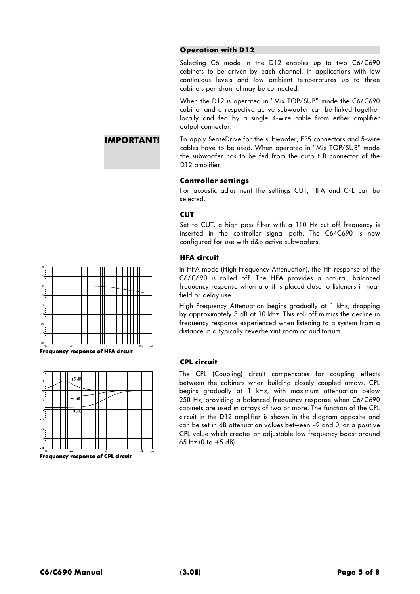# **Operation with D12**

Selecting C6 mode in the D12 enables up to two C6/C690 cabinets to be driven by each channel. In applications with low continuous levels and low ambient temperatures up to three cabinets per channel may be connected.

When the D12 is operated in "Mix TOP/SUB" mode the C6/C690 cabinet and a respective active subwoofer can be linked together locally and fed by a single 4-wire cable from either amplifier output connector.

**IMPORTANT!** To apply SenseDrive for the subwoofer, EP5 connectors and 5-wire cables have to be used. When operated in "Mix TOP/SUB" mode the subwoofer has to be fed from the output B connector of the D12 amplifier.

# **Controller settings**

For acoustic adjustment the settings CUT, HFA and CPL can be selected.

# **CUT**

Set to CUT, a high pass filter with a 110 Hz cut off frequency is inserted in the controller signal path. The C6/C690 is now configured for use with d&b active subwoofers.

# **HFA circuit**

In HFA mode (High Frequency Attenuation), the HF response of the C6/C690 is rolled off. The HFA provides a natural, balanced frequency response when a unit is placed close to listeners in near field or delay use.

High Frequency Attenuation begins gradually at 1 kHz, dropping by approximately 3 dB at 10 kHz. This roll off mimics the decline in frequency response experienced when listening to a system from a distance in a typically reverberant room or auditorium.

# **CPL circuit**

The CPL (Coupling) circuit compensates for coupling effects between the cabinets when building closely coupled arrays. CPL begins gradually at 1 kHz, with maximum attenuation below 250 Hz, providing a balanced frequency response when C6/C690 cabinets are used in arrays of two or more. The function of the CPL circuit in the D12 amplifier is shown in the diagram opposite and can be set in dB attenuation values between –9 and 0, or a positive CPL value which creates an adjustable low frequency boost around 65 Hz (0 to +5 dB).



**Frequency response of HFA circuit**

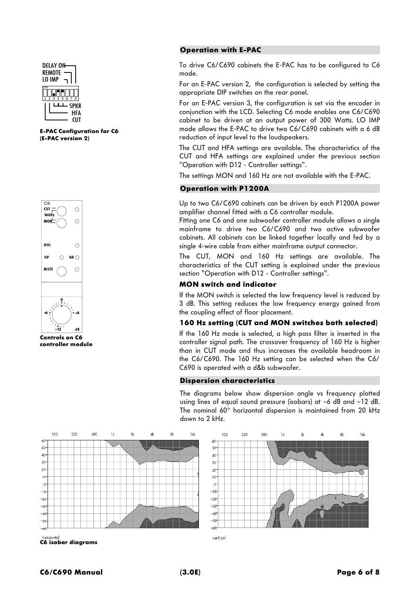

**E-PAC Configuration for C6 (E-PAC version 2)**



 **Controls on C6 controller module**

#### **Operation with E-PAC**

To drive C6/C690 cabinets the E-PAC has to be configured to C6 mode.

For an E-PAC version 2, the configuration is selected by setting the appropriate DIP switches on the rear panel.

For an E-PAC version 3, the configuration is set via the encoder in conjunction with the LCD. Selecting C6 mode enables one C6/C690 cabinet to be driven at an output power of 300 Watts. LO IMP mode allows the E-PAC to drive two C6/C690 cabinets with a 6 dB reduction of input level to the loudspeakers.

The CUT and HFA settings are available. The characteristics of the CUT and HFA settings are explained under the previous section "Operation with D12 - Controller settings".

The settings MON and 160 Hz are not available with the E-PAC.

#### **Operation with P1200A**

Up to two C6/C690 cabinets can be driven by each P1200A power amplifier channel fitted with a C6 controller module.

Fitting one C6 and one subwoofer controller module allows a single mainframe to drive two C6/C690 and two active subwoofer cabinets. All cabinets can be linked together locally and fed by a single 4-wire cable from either mainframe output connector.

The CUT, MON and 160 Hz settings are available. The characteristics of the CUT setting is explained under the previous section "Operation with D12 - Controller settings".

## **MON switch and indicator**

If the MON switch is selected the low frequency level is reduced by 3 dB. This setting reduces the low frequency energy gained from the coupling effect of floor placement.

### **160 Hz setting (CUT and MON switches both selected)**

If the 160 Hz mode is selected, a high pass filter is inserted in the controller signal path. The crossover frequency of 160 Hz is higher than in CUT mode and thus increases the available headroom in the C6/C690. The 160 Hz setting can be selected when the C6/ C690 is operated with a d&b subwoofer.

#### **Dispersion characteristics**

125

 $\epsilon$ 

50

 $40$ 

30:

 $20$ 

 $10<sup>2</sup>$ 

 $\mathbf{r}$  $-10^{-1}$ 

 $-20$  $-30$ 

 $-40$ 

 $-50$ 

 $\overline{a}$ 

250

son

The diagrams below show dispersion angle vs frequency plotted using lines of equal sound pressure (isobars) at –6 dB and –12 dB. The nominal 60° horizontal dispersion is maintained from 20 kHz down to 2 kHz.

 $1<sup>k</sup>$ 

 $\gamma$ 

и

αL

1.<br>Al



**C6 isobar diagrams**

vertical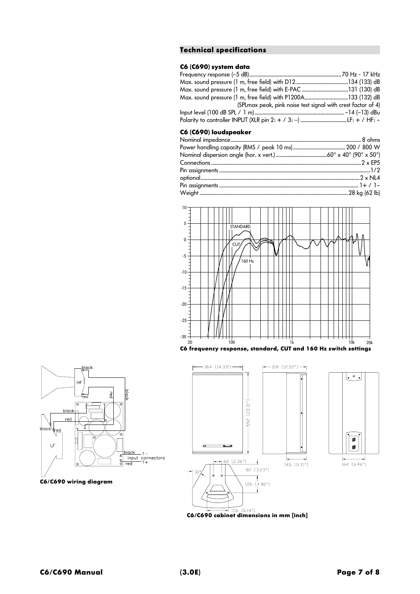### **Technical specifications**

# **C6 (C690) system data**

| Max. sound pressure (1 m, free field) with E-PAC 131 (130) dB             |  |
|---------------------------------------------------------------------------|--|
| Max. sound pressure (1 m, free field) with P1200A…………………………….133 (132) dB |  |
| (SPL max peak, pink noise test signal with crest factor of 4)             |  |
|                                                                           |  |
|                                                                           |  |

#### **C6 (C690) loudspeaker**



**C6 frequency response, standard, CUT and 160 Hz switch settings**







30